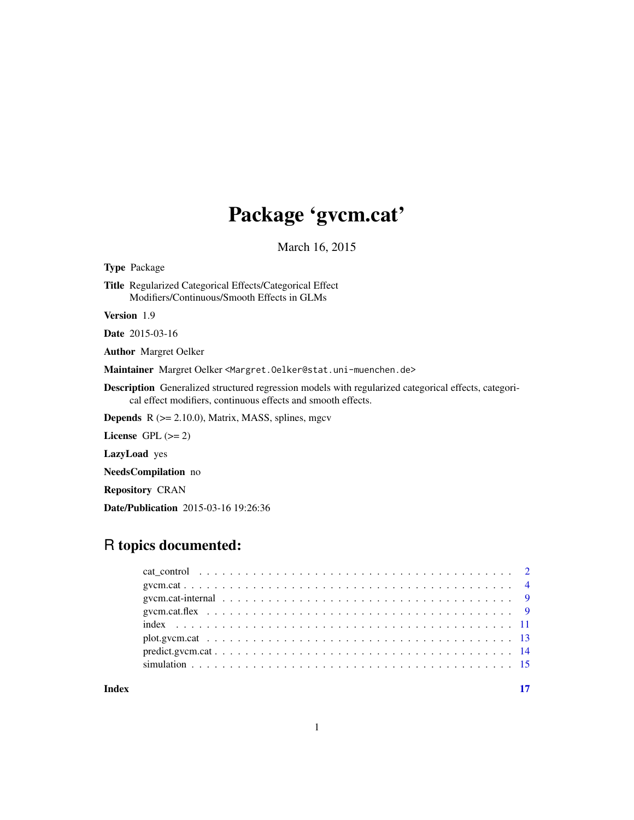# Package 'gvcm.cat'

March 16, 2015

<span id="page-0-0"></span>

## Date/Publication 2015-03-16 19:26:36

## R topics documented:

|       | gycm.cat-internal $\ldots \ldots \ldots \ldots \ldots \ldots \ldots \ldots \ldots \ldots \ldots \ldots \ldots$ |  |  |  |  |
|-------|----------------------------------------------------------------------------------------------------------------|--|--|--|--|
|       |                                                                                                                |  |  |  |  |
|       |                                                                                                                |  |  |  |  |
|       |                                                                                                                |  |  |  |  |
|       |                                                                                                                |  |  |  |  |
|       |                                                                                                                |  |  |  |  |
| Index |                                                                                                                |  |  |  |  |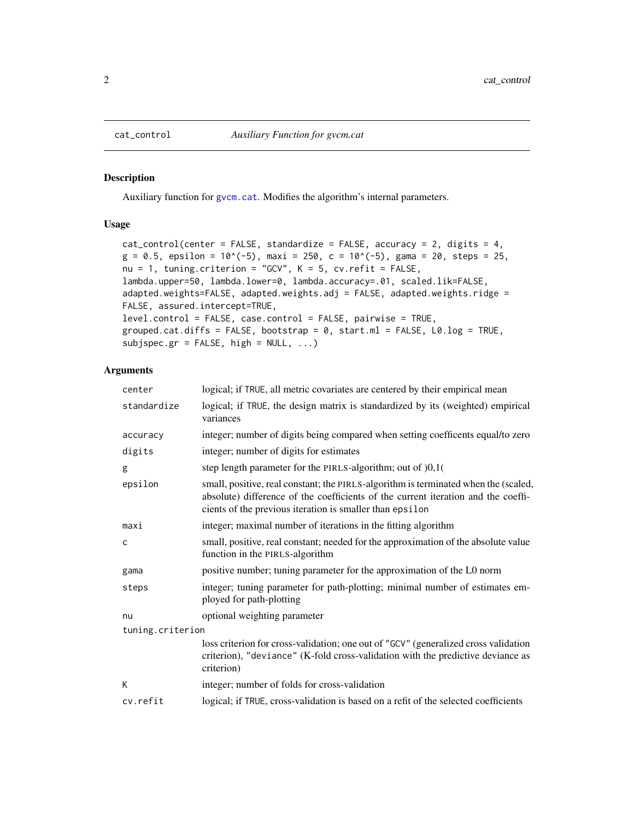#### Description

Auxiliary function for [gvcm.cat](#page-3-1). Modifies the algorithm's internal parameters.

#### Usage

```
cat_control(center = FALSE, standardize = FALSE, accuracy = 2, digits = 4,
g = 0.5, epsilon = 10^(-5), maxi = 250, c = 10^(-5), gama = 20, steps = 25,
nu = 1, tuning.criterion = "GCV", K = 5, cv.refit = FALSE,
lambda.upper=50, lambda.lower=0, lambda.accuracy=.01, scaled.lik=FALSE,
adapted.weights=FALSE, adapted.weights.adj = FALSE, adapted.weights.ridge =
FALSE, assured.intercept=TRUE,
level.control = FALSE, case.control = FALSE, pairwise = TRUE,
grouped.cat.diffs = FALSE, bootstrap = 0, start.ml = FALSE, L0.log = TRUE,
subjspec.gr = FALSE, high = NULL, ...
```

| center           | logical; if TRUE, all metric covariates are centered by their empirical mean                                                                                                                                                         |
|------------------|--------------------------------------------------------------------------------------------------------------------------------------------------------------------------------------------------------------------------------------|
| standardize      | logical; if TRUE, the design matrix is standardized by its (weighted) empirical<br>variances                                                                                                                                         |
| accuracy         | integer; number of digits being compared when setting coefficents equal/to zero                                                                                                                                                      |
| digits           | integer; number of digits for estimates                                                                                                                                                                                              |
| g                | step length parameter for the PIRLS-algorithm; out of )0,1(                                                                                                                                                                          |
| epsilon          | small, positive, real constant; the PIRLS-algorithm is terminated when the (scaled,<br>absolute) difference of the coefficients of the current iteration and the coeffi-<br>cients of the previous iteration is smaller than epsilon |
| maxi             | integer; maximal number of iterations in the fitting algorithm                                                                                                                                                                       |
| $\mathsf{C}$     | small, positive, real constant; needed for the approximation of the absolute value<br>function in the PIRLS-algorithm                                                                                                                |
| gama             | positive number; tuning parameter for the approximation of the L0 norm                                                                                                                                                               |
| steps            | integer; tuning parameter for path-plotting; minimal number of estimates em-<br>ployed for path-plotting                                                                                                                             |
| nu               | optional weighting parameter                                                                                                                                                                                                         |
| tuning.criterion |                                                                                                                                                                                                                                      |
|                  | loss criterion for cross-validation; one out of "GCV" (generalized cross validation<br>criterion), "deviance" (K-fold cross-validation with the predictive deviance as<br>criterion)                                                 |
| К                | integer; number of folds for cross-validation                                                                                                                                                                                        |
| cv.refit         | logical; if TRUE, cross-validation is based on a refit of the selected coefficients                                                                                                                                                  |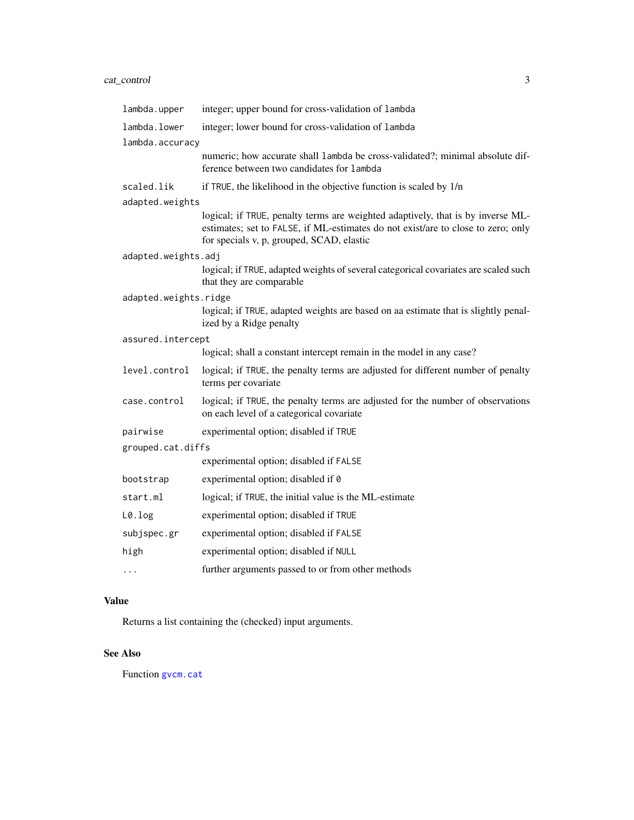### <span id="page-2-0"></span>cat\_control 3

| lambda.upper          | integer; upper bound for cross-validation of lambda                                                                                                                                                              |
|-----------------------|------------------------------------------------------------------------------------------------------------------------------------------------------------------------------------------------------------------|
| lambda.lower          | integer; lower bound for cross-validation of lambda                                                                                                                                                              |
| lambda.accuracy       |                                                                                                                                                                                                                  |
|                       | numeric; how accurate shall lambda be cross-validated?; minimal absolute dif-<br>ference between two candidates for lambda                                                                                       |
| scaled.lik            | if TRUE, the likelihood in the objective function is scaled by 1/n                                                                                                                                               |
| adapted.weights       |                                                                                                                                                                                                                  |
|                       | logical; if TRUE, penalty terms are weighted adaptively, that is by inverse ML-<br>estimates; set to FALSE, if ML-estimates do not exist/are to close to zero; only<br>for specials v, p, grouped, SCAD, elastic |
| adapted.weights.adj   |                                                                                                                                                                                                                  |
|                       | logical; if TRUE, adapted weights of several categorical covariates are scaled such<br>that they are comparable                                                                                                  |
| adapted.weights.ridge |                                                                                                                                                                                                                  |
|                       | logical; if TRUE, adapted weights are based on aa estimate that is slightly penal-<br>ized by a Ridge penalty                                                                                                    |
| assured.intercept     |                                                                                                                                                                                                                  |
|                       | logical; shall a constant intercept remain in the model in any case?                                                                                                                                             |
| level.control         | logical; if TRUE, the penalty terms are adjusted for different number of penalty<br>terms per covariate                                                                                                          |
| case.control          | logical; if TRUE, the penalty terms are adjusted for the number of observations<br>on each level of a categorical covariate                                                                                      |
| pairwise              | experimental option; disabled if TRUE                                                                                                                                                                            |
| grouped.cat.diffs     |                                                                                                                                                                                                                  |
|                       | experimental option; disabled if FALSE                                                                                                                                                                           |
| bootstrap             | experimental option; disabled if 0                                                                                                                                                                               |
| start.ml              | logical; if TRUE, the initial value is the ML-estimate                                                                                                                                                           |
| L0.log                | experimental option; disabled if TRUE                                                                                                                                                                            |
| subjspec.gr           | experimental option; disabled if FALSE                                                                                                                                                                           |
| high                  | experimental option; disabled if NULL                                                                                                                                                                            |
| .                     | further arguments passed to or from other methods                                                                                                                                                                |

### Value

Returns a list containing the (checked) input arguments.

### See Also

Function [gvcm.cat](#page-3-1)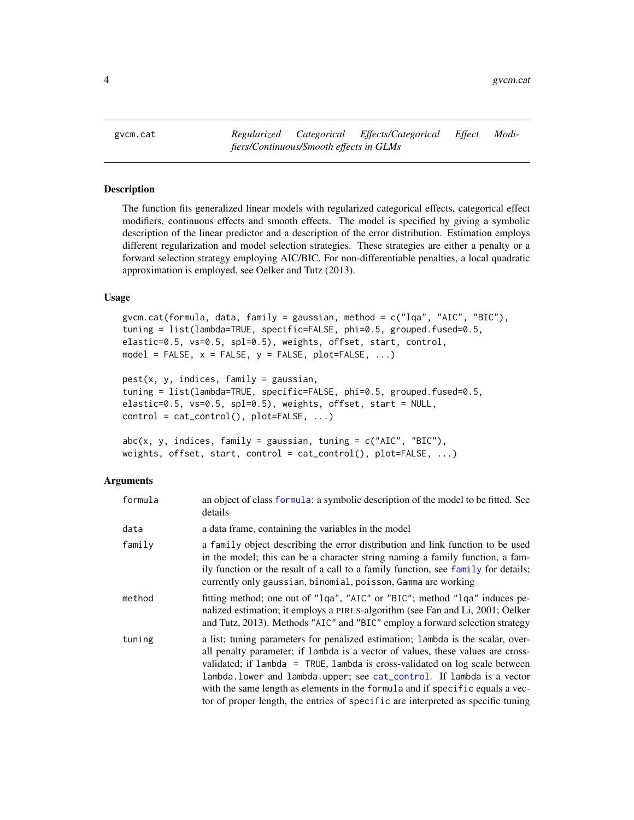<span id="page-3-1"></span><span id="page-3-0"></span>

#### <span id="page-3-2"></span>Description

The function fits generalized linear models with regularized categorical effects, categorical effect modifiers, continuous effects and smooth effects. The model is specified by giving a symbolic description of the linear predictor and a description of the error distribution. Estimation employs different regularization and model selection strategies. These strategies are either a penalty or a forward selection strategy employing AIC/BIC. For non-differentiable penalties, a local quadratic approximation is employed, see Oelker and Tutz (2013).

#### Usage

```
gvcm.cat(formula, data, family = gaussian, method = c("lqa", "AIC", "BIC"),tuning = list(lambda=TRUE, specific=FALSE, phi=0.5, grouped.fused=0.5,
elastic=0.5, vs=0.5, spl=0.5), weights, offset, start, control,
model = FALSE, x = FALSE, y = FALSE, plot=False, ...)
```

```
pest(x, y, indices, family = gaussian,tuning = list(lambda=TRUE, specific=FALSE, phi=0.5, grouped.fused=0.5,
elastic=0.5, vs=0.5, spl=0.5), weights, offset, start = NULL,
control = cat_countrol(), plot=False, ...)
```

```
abc(x, y, indices, family = gaussian, tuning = c("AIC", "BIC"),weights, offset, start, control = cat_control(), plot=FALSE, ...)
```

| formula | an object of class formula: a symbolic description of the model to be fitted. See<br>details                                                                                                                                                                                                                                                                                                                                                                                                    |
|---------|-------------------------------------------------------------------------------------------------------------------------------------------------------------------------------------------------------------------------------------------------------------------------------------------------------------------------------------------------------------------------------------------------------------------------------------------------------------------------------------------------|
| data    | a data frame, containing the variables in the model                                                                                                                                                                                                                                                                                                                                                                                                                                             |
| family  | a family object describing the error distribution and link function to be used<br>in the model; this can be a character string naming a family function, a fam-<br>ily function or the result of a call to a family function, see family for details;<br>currently only gaussian, binomial, poisson, Gamma are working                                                                                                                                                                          |
| method  | fitting method; one out of "1qa", "AIC" or "BIC"; method "1qa" induces pe-<br>nalized estimation; it employs a PIRLS-algorithm (see Fan and Li, 2001; Oelker<br>and Tutz, 2013). Methods "AIC" and "BIC" employ a forward selection strategy                                                                                                                                                                                                                                                    |
| tuning  | a list; tuning parameters for penalized estimation; lambda is the scalar, over-<br>all penalty parameter; if lambda is a vector of values, these values are cross-<br>validated; if lambda = TRUE, lambda is cross-validated on log scale between<br>lambda.lower and lambda.upper; see cat_control. If lambda is a vector<br>with the same length as elements in the formula and if specific equals a vec-<br>tor of proper length, the entries of specific are interpreted as specific tuning |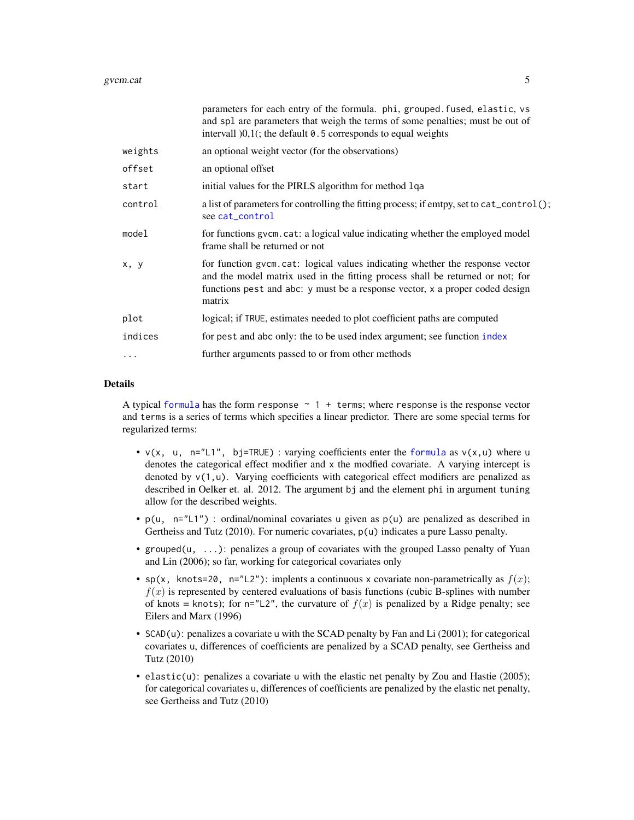<span id="page-4-0"></span>

|         | parameters for each entry of the formula. phi, grouped. fused, elastic, vs<br>and spl are parameters that weigh the terms of some penalties; must be out of<br>intervall $[0,1]$ ; the default 0.5 corresponds to equal weights                           |
|---------|-----------------------------------------------------------------------------------------------------------------------------------------------------------------------------------------------------------------------------------------------------------|
| weights | an optional weight vector (for the observations)                                                                                                                                                                                                          |
| offset  | an optional offset                                                                                                                                                                                                                                        |
| start   | initial values for the PIRLS algorithm for method 1qa                                                                                                                                                                                                     |
| control | a list of parameters for controlling the fitting process; if emtpy, set to cat_control();<br>see cat_control                                                                                                                                              |
| model   | for functions gycm. cat: a logical value indicating whether the employed model<br>frame shall be returned or not                                                                                                                                          |
| x, y    | for function gvcm. cat: logical values indicating whether the response vector<br>and the model matrix used in the fitting process shall be returned or not; for<br>functions pest and abc: y must be a response vector, x a proper coded design<br>matrix |
| plot    | logical; if TRUE, estimates needed to plot coefficient paths are computed                                                                                                                                                                                 |
| indices | for pest and abc only: the to be used index argument; see function index                                                                                                                                                                                  |
| .       | further arguments passed to or from other methods                                                                                                                                                                                                         |
|         |                                                                                                                                                                                                                                                           |

A typical [formula](#page-0-0) has the form response  $\sim$  1 + terms; where response is the response vector and terms is a series of terms which specifies a linear predictor. There are some special terms for regularized terms:

- $v(x, u, n="L1", bj=TRUE)$ : varying coefficients enter the [formula](#page-0-0) as  $v(x, u)$  where u denotes the categorical effect modifier and x the modfied covariate. A varying intercept is denoted by  $v(1, u)$ . Varying coefficients with categorical effect modifiers are penalized as described in Oelker et. al. 2012. The argument bj and the element phi in argument tuning allow for the described weights.
- p(u, n="L1") : ordinal/nominal covariates u given as p(u) are penalized as described in Gertheiss and Tutz (2010). For numeric covariates,  $p(u)$  indicates a pure Lasso penalty.
- grouped(u, ...): penalizes a group of covariates with the grouped Lasso penalty of Yuan and Lin (2006); so far, working for categorical covariates only
- sp(x, knots=20, n="L2"): implents a continuous x covariate non-parametrically as  $f(x)$ ;  $f(x)$  is represented by centered evaluations of basis functions (cubic B-splines with number of knots = knots); for  $n=$ "L2", the curvature of  $f(x)$  is penalized by a Ridge penalty; see Eilers and Marx (1996)
- SCAD(u): penalizes a covariate u with the SCAD penalty by Fan and Li (2001); for categorical covariates u, differences of coefficients are penalized by a SCAD penalty, see Gertheiss and Tutz (2010)
- elastic(u): penalizes a covariate u with the elastic net penalty by Zou and Hastie (2005); for categorical covariates u, differences of coefficients are penalized by the elastic net penalty, see Gertheiss and Tutz (2010)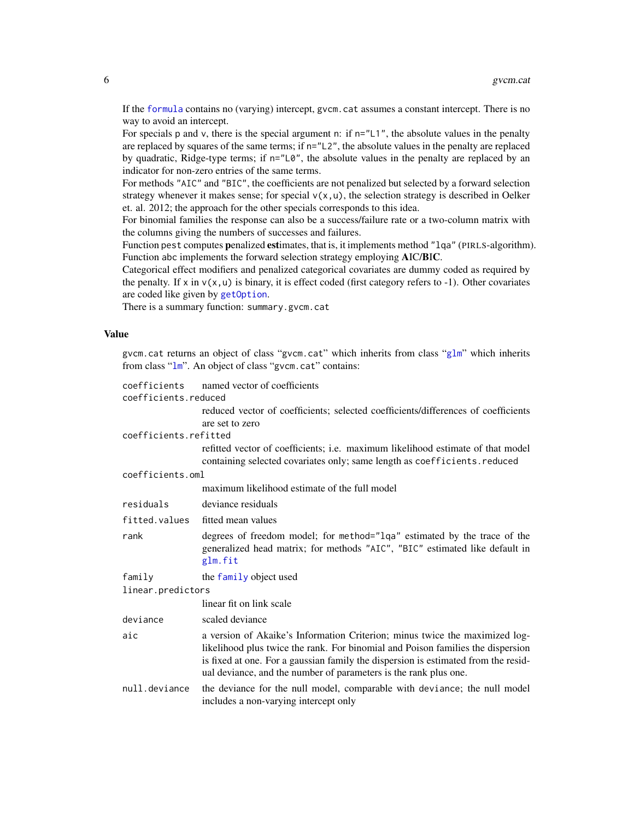<span id="page-5-0"></span>If the [formula](#page-0-0) contains no (varying) intercept, gvcm.cat assumes a constant intercept. There is no way to avoid an intercept.

For specials p and v, there is the special argument n: if  $n=$ "L1", the absolute values in the penalty are replaced by squares of the same terms; if n="L2", the absolute values in the penalty are replaced by quadratic, Ridge-type terms; if n="L0", the absolute values in the penalty are replaced by an indicator for non-zero entries of the same terms.

For methods "AIC" and "BIC", the coefficients are not penalized but selected by a forward selection strategy whenever it makes sense; for special  $v(x, u)$ , the selection strategy is described in Oelker et. al. 2012; the approach for the other specials corresponds to this idea.

For binomial families the response can also be a success/failure rate or a two-column matrix with the columns giving the numbers of successes and failures.

Function pest computes penalized estimates, that is, it implements method "lqa" (PIRLS-algorithm). Function abc implements the forward selection strategy employing AIC/BIC.

Categorical effect modifiers and penalized categorical covariates are dummy coded as required by the penalty. If  $x$  in  $v(x, u)$  is binary, it is effect coded (first category refers to -1). Other covariates are coded like given by [getOption](#page-0-0).

There is a summary function: summary.gvcm.cat

### Value

gvcm.cat returns an object of class "gvcm.cat" which inherits from class "[glm](#page-0-0)" which inherits from class "[lm](#page-0-0)". An object of class "gvcm.cat" contains:

| coefficients          | named vector of coefficients                                                                                                                                                                                                                                                                                             |
|-----------------------|--------------------------------------------------------------------------------------------------------------------------------------------------------------------------------------------------------------------------------------------------------------------------------------------------------------------------|
| coefficients.reduced  |                                                                                                                                                                                                                                                                                                                          |
|                       | reduced vector of coefficients; selected coefficients/differences of coefficients                                                                                                                                                                                                                                        |
|                       | are set to zero                                                                                                                                                                                                                                                                                                          |
| coefficients.refitted |                                                                                                                                                                                                                                                                                                                          |
|                       | refitted vector of coefficients; i.e. maximum likelihood estimate of that model<br>containing selected covariates only; same length as coefficients. reduced                                                                                                                                                             |
| coefficients.oml      |                                                                                                                                                                                                                                                                                                                          |
|                       | maximum likelihood estimate of the full model                                                                                                                                                                                                                                                                            |
| residuals             | deviance residuals                                                                                                                                                                                                                                                                                                       |
| fitted.values         | fitted mean values                                                                                                                                                                                                                                                                                                       |
| rank                  | degrees of freedom model; for method="lqa" estimated by the trace of the<br>generalized head matrix; for methods "AIC", "BIC" estimated like default in<br>glm.fit                                                                                                                                                       |
| family                | the family object used                                                                                                                                                                                                                                                                                                   |
| linear.predictors     |                                                                                                                                                                                                                                                                                                                          |
|                       | linear fit on link scale                                                                                                                                                                                                                                                                                                 |
| deviance              | scaled deviance                                                                                                                                                                                                                                                                                                          |
| aic                   | a version of Akaike's Information Criterion; minus twice the maximized log-<br>likelihood plus twice the rank. For binomial and Poison families the dispersion<br>is fixed at one. For a gaussian family the dispersion is estimated from the resid-<br>ual deviance, and the number of parameters is the rank plus one. |
| null.deviance         | the deviance for the null model, comparable with deviance; the null model<br>includes a non-varying intercept only                                                                                                                                                                                                       |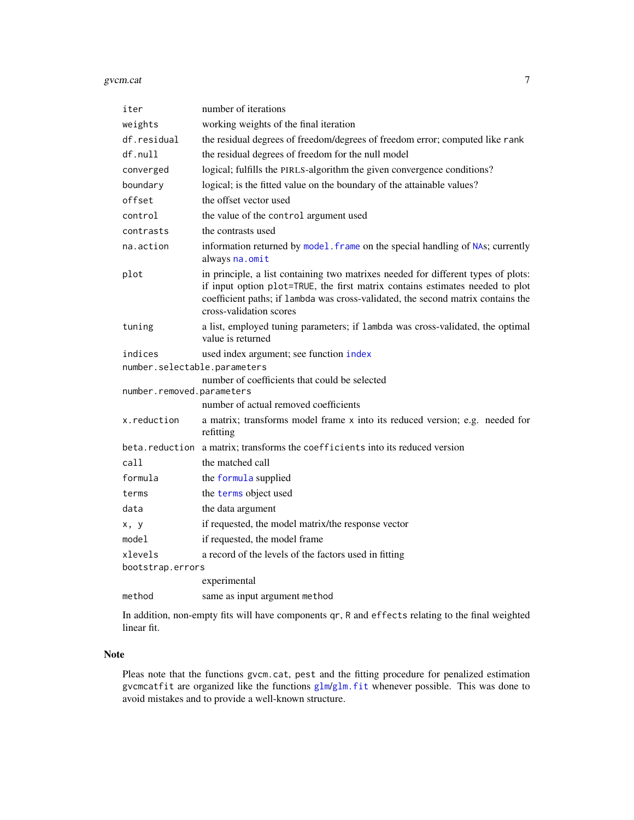#### <span id="page-6-0"></span>gvcm.cat 7

| iter                         | number of iterations                                                                                                                                                                                                                                                              |
|------------------------------|-----------------------------------------------------------------------------------------------------------------------------------------------------------------------------------------------------------------------------------------------------------------------------------|
| weights                      | working weights of the final iteration                                                                                                                                                                                                                                            |
| df.residual                  | the residual degrees of freedom/degrees of freedom error; computed like rank                                                                                                                                                                                                      |
| df.null                      | the residual degrees of freedom for the null model                                                                                                                                                                                                                                |
| converged                    | logical; fulfills the PIRLS-algorithm the given convergence conditions?                                                                                                                                                                                                           |
| boundary                     | logical; is the fitted value on the boundary of the attainable values?                                                                                                                                                                                                            |
| offset                       | the offset vector used                                                                                                                                                                                                                                                            |
| control                      | the value of the control argument used                                                                                                                                                                                                                                            |
| contrasts                    | the contrasts used                                                                                                                                                                                                                                                                |
| na.action                    | information returned by model. frame on the special handling of NAs; currently<br>always na.omit                                                                                                                                                                                  |
| plot                         | in principle, a list containing two matrixes needed for different types of plots:<br>if input option plot=TRUE, the first matrix contains estimates needed to plot<br>coefficient paths; if lambda was cross-validated, the second matrix contains the<br>cross-validation scores |
| tuning                       | a list, employed tuning parameters; if lambda was cross-validated, the optimal<br>value is returned                                                                                                                                                                               |
| indices                      | used index argument; see function index                                                                                                                                                                                                                                           |
| number.selectable.parameters |                                                                                                                                                                                                                                                                                   |
| number.removed.parameters    | number of coefficients that could be selected                                                                                                                                                                                                                                     |
|                              | number of actual removed coefficients                                                                                                                                                                                                                                             |
| x.reduction                  | a matrix; transforms model frame x into its reduced version; e.g. needed for<br>refitting                                                                                                                                                                                         |
|                              | beta.reduction a matrix; transforms the coefficients into its reduced version                                                                                                                                                                                                     |
| call                         | the matched call                                                                                                                                                                                                                                                                  |
| formula                      | the formula supplied                                                                                                                                                                                                                                                              |
| terms                        | the terms object used                                                                                                                                                                                                                                                             |
| data                         | the data argument                                                                                                                                                                                                                                                                 |
| x, y                         | if requested, the model matrix/the response vector                                                                                                                                                                                                                                |
| model                        | if requested, the model frame                                                                                                                                                                                                                                                     |
| xlevels                      | a record of the levels of the factors used in fitting                                                                                                                                                                                                                             |
| bootstrap.errors             |                                                                                                                                                                                                                                                                                   |
|                              | experimental                                                                                                                                                                                                                                                                      |
| method                       | same as input argument method                                                                                                                                                                                                                                                     |
|                              |                                                                                                                                                                                                                                                                                   |

In addition, non-empty fits will have components qr, R and effects relating to the final weighted linear fit.

#### Note

Pleas note that the functions gvcm.cat, pest and the fitting procedure for penalized estimation gvcmcatfit are organized like the functions [glm](#page-0-0)/[glm.fit](#page-0-0) whenever possible. This was done to avoid mistakes and to provide a well-known structure.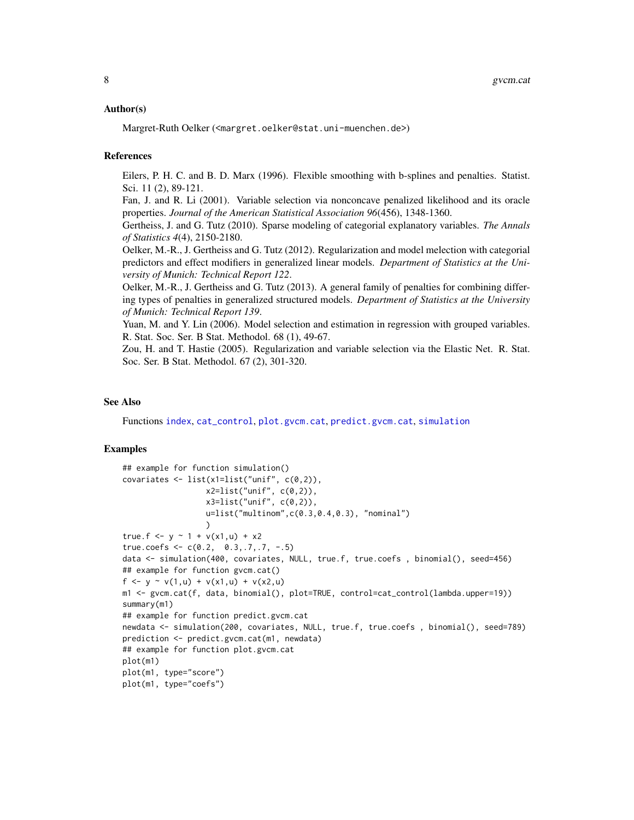#### <span id="page-7-0"></span>Author(s)

Margret-Ruth Oelker (<margret.oelker@stat.uni-muenchen.de>)

#### References

Eilers, P. H. C. and B. D. Marx (1996). Flexible smoothing with b-splines and penalties. Statist. Sci. 11 (2), 89-121.

Fan, J. and R. Li (2001). Variable selection via nonconcave penalized likelihood and its oracle properties. *Journal of the American Statistical Association 96*(456), 1348-1360.

Gertheiss, J. and G. Tutz (2010). Sparse modeling of categorial explanatory variables. *The Annals of Statistics 4*(4), 2150-2180.

Oelker, M.-R., J. Gertheiss and G. Tutz (2012). Regularization and model melection with categorial predictors and effect modifiers in generalized linear models. *Department of Statistics at the University of Munich: Technical Report 122*.

Oelker, M.-R., J. Gertheiss and G. Tutz (2013). A general family of penalties for combining differing types of penalties in generalized structured models. *Department of Statistics at the University of Munich: Technical Report 139*.

Yuan, M. and Y. Lin (2006). Model selection and estimation in regression with grouped variables. R. Stat. Soc. Ser. B Stat. Methodol. 68 (1), 49-67.

Zou, H. and T. Hastie (2005). Regularization and variable selection via the Elastic Net. R. Stat. Soc. Ser. B Stat. Methodol. 67 (2), 301-320.

#### See Also

Functions [index](#page-10-1), [cat\\_control](#page-1-1), [plot.gvcm.cat](#page-12-1), [predict.gvcm.cat](#page-13-1), [simulation](#page-14-1)

```
## example for function simulation()
covariates \le list(x1=list("unif", c(0,2)),
                  x2 = list("unif", c(0,2)),x3 = list("unif", c(0,2)),u=list("multinom",c(0.3,0.4,0.3), "nominal")
                  )
true.f <- y \sim 1 + v(x1, u) + x2true.coefs <- c(0.2, 0.3, .7, .7, -.5)data <- simulation(400, covariates, NULL, true.f, true.coefs , binomial(), seed=456)
## example for function gvcm.cat()
f <- y ~ v(1, u) + v(x1, u) + v(x2, u)m1 <- gvcm.cat(f, data, binomial(), plot=TRUE, control=cat_control(lambda.upper=19))
summary(m1)
## example for function predict.gvcm.cat
newdata <- simulation(200, covariates, NULL, true.f, true.coefs , binomial(), seed=789)
prediction <- predict.gvcm.cat(m1, newdata)
## example for function plot.gvcm.cat
plot(m1)
plot(m1, type="score")
plot(m1, type="coefs")
```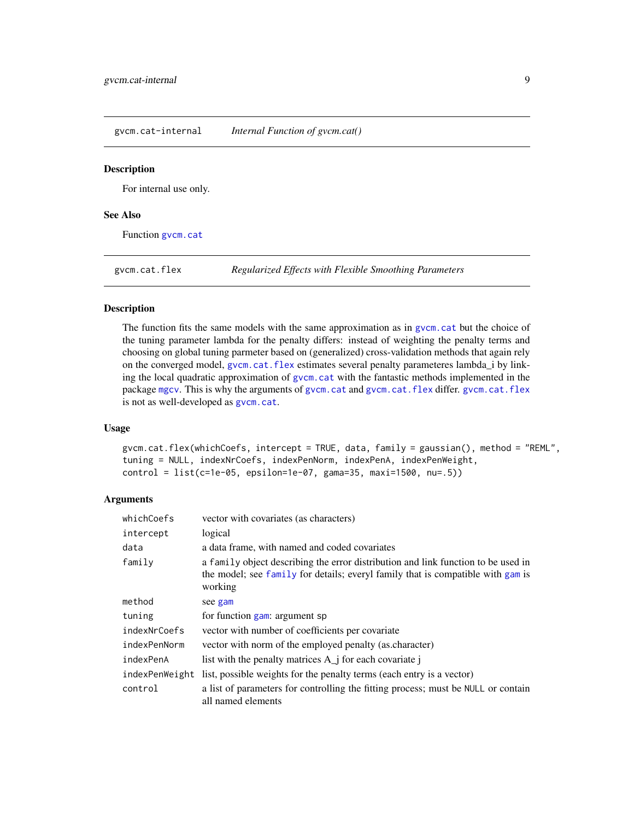<span id="page-8-0"></span>gvcm.cat-internal *Internal Function of gvcm.cat()*

#### **Description**

For internal use only.

#### See Also

Function gycm.cat

<span id="page-8-1"></span>gvcm.cat.flex *Regularized Effects with Flexible Smoothing Parameters*

#### Description

The function fits the same models with the same approximation as in [gvcm.cat](#page-3-1) but the choice of the tuning parameter lambda for the penalty differs: instead of weighting the penalty terms and choosing on global tuning parmeter based on (generalized) cross-validation methods that again rely on the converged model, [gvcm.cat.flex](#page-8-1) estimates several penalty parameteres lambda\_i by linking the local quadratic approximation of [gvcm.cat](#page-3-1) with the fantastic methods implemented in the package [mgcv](#page-0-0). This is why the arguments of [gvcm.cat](#page-3-1) and [gvcm.cat.flex](#page-8-1) differ. [gvcm.cat.flex](#page-8-1) is not as well-developed as [gvcm.cat](#page-3-1).

#### Usage

gvcm.cat.flex(whichCoefs, intercept = TRUE, data, family = gaussian(), method = "REML", tuning = NULL, indexNrCoefs, indexPenNorm, indexPenA, indexPenWeight, control = list(c=1e-05, epsilon=1e-07, gama=35, maxi=1500, nu=.5))

| whichCoefs     | vector with covariates (as characters)                                                                                                                                          |
|----------------|---------------------------------------------------------------------------------------------------------------------------------------------------------------------------------|
| intercept      | logical                                                                                                                                                                         |
| data           | a data frame, with named and coded covariates                                                                                                                                   |
| family         | a family object describing the error distribution and link function to be used in<br>the model; see family for details; everyl family that is compatible with gam is<br>working |
| method         | see gam                                                                                                                                                                         |
| tuning         | for function gam: argument sp                                                                                                                                                   |
| indexNrCoefs   | vector with number of coefficients per covariate                                                                                                                                |
| indexPenNorm   | vector with norm of the employed penalty (as character)                                                                                                                         |
| indexPenA      | list with the penalty matrices $A_i$ if or each covariate i                                                                                                                     |
| indexPenWeight | list, possible weights for the penalty terms (each entry is a vector)                                                                                                           |
| control        | a list of parameters for controlling the fitting process; must be NULL or contain<br>all named elements                                                                         |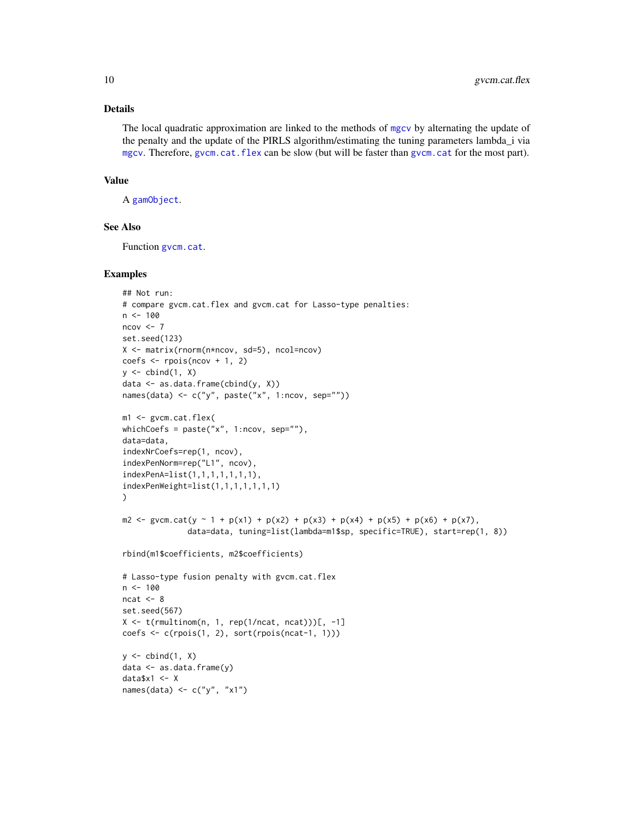<span id="page-9-0"></span>The local quadratic approximation are linked to the methods of [mgcv](#page-0-0) by alternating the update of the penalty and the update of the PIRLS algorithm/estimating the tuning parameters lambda\_i via [mgcv](#page-0-0). Therefore, [gvcm.cat.flex](#page-8-1) can be slow (but will be faster than [gvcm.cat](#page-3-1) for the most part).

#### Value

A [gamObject](#page-0-0).

### See Also

Function [gvcm.cat](#page-3-1).

```
## Not run:
# compare gvcm.cat.flex and gvcm.cat for Lasso-type penalties:
n < -100ncov < -7set.seed(123)
X <- matrix(rnorm(n*ncov, sd=5), ncol=ncov)
coefs \le rpois(ncov + 1, 2)
y \leftarrow \text{cbind}(1, X)data <- as.data.frame(cbind(y, X))
names(data) <- c("y", paste("x", 1:ncov, sep=""))
m1 <- gvcm.cat.flex(
whichCoefs = paste("x", 1:ncov, sep=""),
data=data,
indexNrCoefs=rep(1, ncov),
indexPenNorm=rep("L1", ncov),
indexPenA=list(1,1,1,1,1,1,1),
indexPenWeight=list(1,1,1,1,1,1,1)
)
m2 <- gvcm.cat(y \sim 1 + p(x1) + p(x2) + p(x3) + p(x4) + p(x5) + p(x6) + p(x7),
               data=data, tuning=list(lambda=m1$sp, specific=TRUE), start=rep(1, 8))
rbind(m1$coefficients, m2$coefficients)
# Lasso-type fusion penalty with gvcm.cat.flex
n < -100ncat < -8set.seed(567)
X \leftarrow t(\text{rmultinom}(n, 1, \text{rep}(1/ncat, \text{ncat})))[, -1]
coefs <- c(rpois(1, 2), sort(rpois(ncat-1, 1)))
y \leftarrow \text{cbind}(1, X)data \leq as.data.frame(y)
data$x1 <- X
names(data) <- c("y", "x1")
```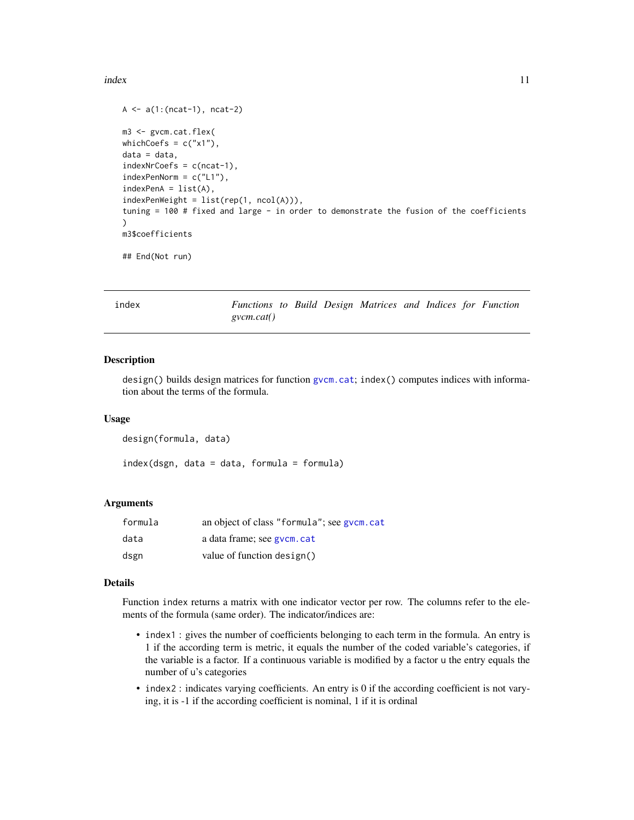#### <span id="page-10-0"></span>index 11

```
A \leftarrow a(1:(ncat-1),ncat-2)m3 <- gvcm.cat.flex(
whichCoefs = c("x1"),
data = data,
indexNrCoefs = c(ncat-1),
indexPenNorm = c("L1"),
indexPenA = list(A),indexPenWeight = list(rep(1, ncol(A))),
tuning = 100 # fixed and large - in order to demonstrate the fusion of the coefficients
)
m3$coefficients
```
## End(Not run)

<span id="page-10-1"></span>

| index |
|-------|
|-------|

*Functions to Build Design Matrices and Indices for Function gvcm.cat()*

#### Description

design() builds design matrices for function [gvcm.cat](#page-3-1); index() computes indices with information about the terms of the formula.

#### Usage

```
design(formula, data)
```
index(dsgn, data = data, formula = formula)

#### Arguments

| formula | an object of class "formula"; see gycm.cat |
|---------|--------------------------------------------|
| data    | a data frame; see gycm. cat                |
| dsgn    | value of function design()                 |

#### Details

Function index returns a matrix with one indicator vector per row. The columns refer to the elements of the formula (same order). The indicator/indices are:

- index1 : gives the number of coefficients belonging to each term in the formula. An entry is 1 if the according term is metric, it equals the number of the coded variable's categories, if the variable is a factor. If a continuous variable is modified by a factor u the entry equals the number of u's categories
- index2 : indicates varying coefficients. An entry is 0 if the according coefficient is not varying, it is -1 if the according coefficient is nominal, 1 if it is ordinal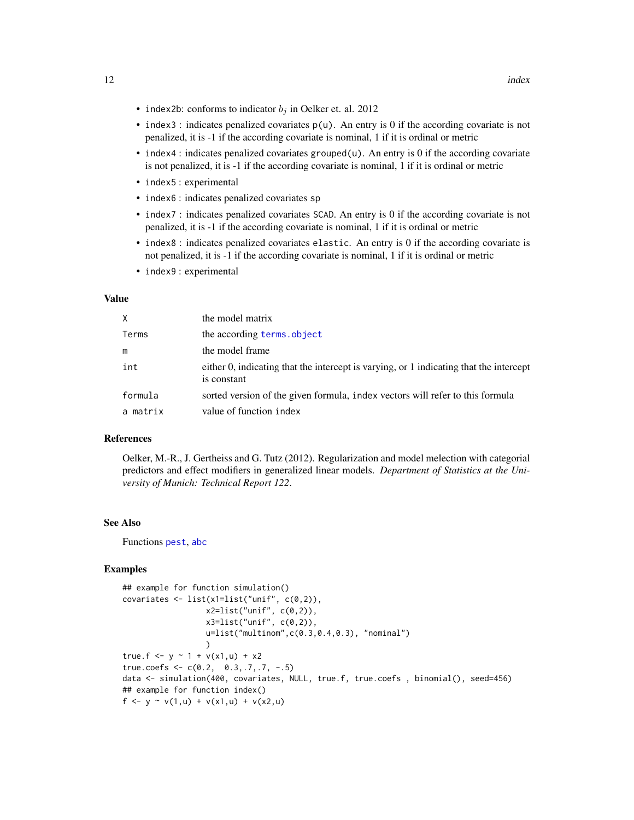- <span id="page-11-0"></span>• index2b: conforms to indicator  $b_i$  in Oelker et. al. 2012
- index3 : indicates penalized covariates  $p(u)$ . An entry is 0 if the according covariate is not penalized, it is -1 if the according covariate is nominal, 1 if it is ordinal or metric
- index4 : indicates penalized covariates grouped(u). An entry is 0 if the according covariate is not penalized, it is -1 if the according covariate is nominal, 1 if it is ordinal or metric
- index5 : experimental
- index6 : indicates penalized covariates sp
- index7 : indicates penalized covariates SCAD. An entry is 0 if the according covariate is not penalized, it is -1 if the according covariate is nominal, 1 if it is ordinal or metric
- index8 : indicates penalized covariates elastic. An entry is 0 if the according covariate is not penalized, it is -1 if the according covariate is nominal, 1 if it is ordinal or metric
- index9 : experimental

#### Value

| X        | the model matrix                                                                                      |
|----------|-------------------------------------------------------------------------------------------------------|
| Terms    | the according terms.object                                                                            |
| m        | the model frame                                                                                       |
| int      | either 0, indicating that the intercept is varying, or 1 indicating that the intercept<br>is constant |
| formula  | sorted version of the given formula, index vectors will refer to this formula                         |
| a matrix | value of function index                                                                               |

### References

Oelker, M.-R., J. Gertheiss and G. Tutz (2012). Regularization and model melection with categorial predictors and effect modifiers in generalized linear models. *Department of Statistics at the University of Munich: Technical Report 122*.

#### See Also

Functions [pest](#page-3-2), [abc](#page-3-2)

```
## example for function simulation()
covariates <- list(x1=list("unif", c(0,2)),
                  x2=list("unif", c(0,2)),
                  x3=list("unif", c(0,2)),u=list("multinom",c(0.3,0.4,0.3), "nominal")
                  )
true.f <- y \sim 1 + v(x1, u) + x2true.coefs <- c(0.2, 0.3, .7, .7, -.5)data <- simulation(400, covariates, NULL, true.f, true.coefs , binomial(), seed=456)
## example for function index()
f <- y ~ v(1, u) + v(x1, u) + v(x2, u)
```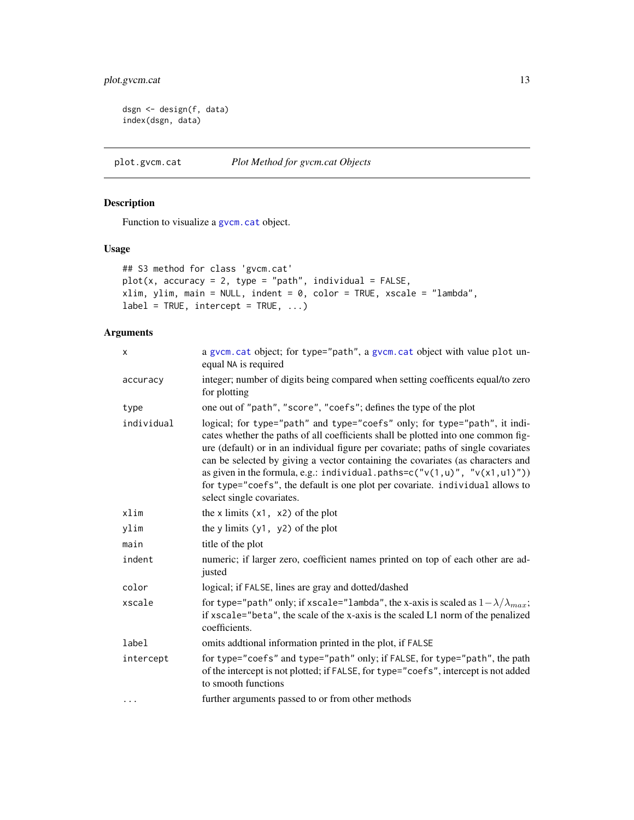### <span id="page-12-0"></span>plot.gvcm.cat 13

```
dsgn <- design(f, data)
index(dsgn, data)
```
<span id="page-12-1"></span>plot.gvcm.cat *Plot Method for gvcm.cat Objects*

### Description

Function to visualize a [gvcm.cat](#page-3-1) object.

### Usage

```
## S3 method for class 'gvcm.cat'
plot(x, accuracy = 2, type = "path", individual = FALSE,xlim, ylim, main = NULL, indent = 0, color = TRUE, xscale = "lambda",
label = TRUE, intercept = TRUE, ...)
```

| X          | a gvcm. cat object; for type="path", a gvcm. cat object with value plot un-<br>equal NA is required                                                                                                                                                                                                                                                                                                                                                                                                                                  |  |  |
|------------|--------------------------------------------------------------------------------------------------------------------------------------------------------------------------------------------------------------------------------------------------------------------------------------------------------------------------------------------------------------------------------------------------------------------------------------------------------------------------------------------------------------------------------------|--|--|
| accuracy   | integer; number of digits being compared when setting coefficents equal/to zero<br>for plotting                                                                                                                                                                                                                                                                                                                                                                                                                                      |  |  |
| type       | one out of "path", "score", "coefs"; defines the type of the plot                                                                                                                                                                                                                                                                                                                                                                                                                                                                    |  |  |
| individual | logical; for type="path" and type="coefs" only; for type="path", it indi-<br>cates whether the paths of all coefficients shall be plotted into one common fig-<br>ure (default) or in an individual figure per covariate; paths of single covariates<br>can be selected by giving a vector containing the covariates (as characters and<br>as given in the formula, e.g.: individual.paths= $c("v(1,u)", "v(x1,u1)"))$<br>for type="coefs", the default is one plot per covariate. individual allows to<br>select single covariates. |  |  |
| xlim       | the x limits $(x1, x2)$ of the plot                                                                                                                                                                                                                                                                                                                                                                                                                                                                                                  |  |  |
| ylim       | the y limits $(y1, y2)$ of the plot                                                                                                                                                                                                                                                                                                                                                                                                                                                                                                  |  |  |
| main       | title of the plot                                                                                                                                                                                                                                                                                                                                                                                                                                                                                                                    |  |  |
| indent     | numeric; if larger zero, coefficient names printed on top of each other are ad-<br>justed                                                                                                                                                                                                                                                                                                                                                                                                                                            |  |  |
| color      | logical; if FALSE, lines are gray and dotted/dashed                                                                                                                                                                                                                                                                                                                                                                                                                                                                                  |  |  |
| xscale     | for type="path" only; if xscale="lambda", the x-axis is scaled as $1 - \lambda / \lambda_{max}$ ;<br>if xscale="beta", the scale of the x-axis is the scaled L1 norm of the penalized<br>coefficients.                                                                                                                                                                                                                                                                                                                               |  |  |
| label      | omits addtional information printed in the plot, if FALSE                                                                                                                                                                                                                                                                                                                                                                                                                                                                            |  |  |
| intercept  | for type="coefs" and type="path" only; if FALSE, for type="path", the path<br>of the intercept is not plotted; if FALSE, for type="coefs", intercept is not added<br>to smooth functions                                                                                                                                                                                                                                                                                                                                             |  |  |
| $\cdots$   | further arguments passed to or from other methods                                                                                                                                                                                                                                                                                                                                                                                                                                                                                    |  |  |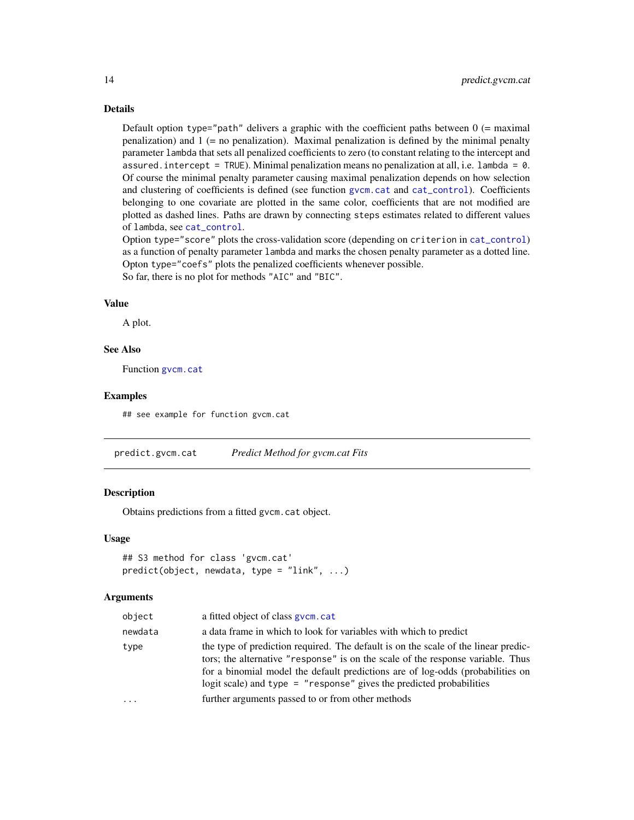Default option type="path" delivers a graphic with the coefficient paths between  $0$  (= maximal penalization) and  $1$  (= no penalization). Maximal penalization is defined by the minimal penalty parameter lambda that sets all penalized coefficients to zero (to constant relating to the intercept and assured. intercept = TRUE). Minimal penalization means no penalization at all, i.e.  $l$ ambda = 0. Of course the minimal penalty parameter causing maximal penalization depends on how selection and clustering of coefficients is defined (see function [gvcm.cat](#page-3-1) and [cat\\_control](#page-1-1)). Coefficients belonging to one covariate are plotted in the same color, coefficients that are not modified are plotted as dashed lines. Paths are drawn by connecting steps estimates related to different values of lambda, see [cat\\_control](#page-1-1).

Option type="score" plots the cross-validation score (depending on criterion in [cat\\_control](#page-1-1)) as a function of penalty parameter lambda and marks the chosen penalty parameter as a dotted line. Opton type="coefs" plots the penalized coefficients whenever possible. So far, there is no plot for methods "AIC" and "BIC".

#### Value

A plot.

#### See Also

Function gycm.cat

#### Examples

## see example for function gvcm.cat

<span id="page-13-1"></span>predict.gvcm.cat *Predict Method for gvcm.cat Fits*

#### Description

Obtains predictions from a fitted gvcm.cat object.

#### Usage

```
## S3 method for class 'gvcm.cat'
predict(object, newdata, type = "link", ...)
```

| object  | a fitted object of class gycm.cat                                                                                                                                                                                                                                                                                                 |
|---------|-----------------------------------------------------------------------------------------------------------------------------------------------------------------------------------------------------------------------------------------------------------------------------------------------------------------------------------|
| newdata | a data frame in which to look for variables with which to predict                                                                                                                                                                                                                                                                 |
| type    | the type of prediction required. The default is on the scale of the linear predic-<br>tors; the alternative "response" is on the scale of the response variable. Thus<br>for a binomial model the default predictions are of log-odds (probabilities on<br>logit scale) and type $=$ "response" gives the predicted probabilities |
| .       | further arguments passed to or from other methods                                                                                                                                                                                                                                                                                 |
|         |                                                                                                                                                                                                                                                                                                                                   |

<span id="page-13-0"></span>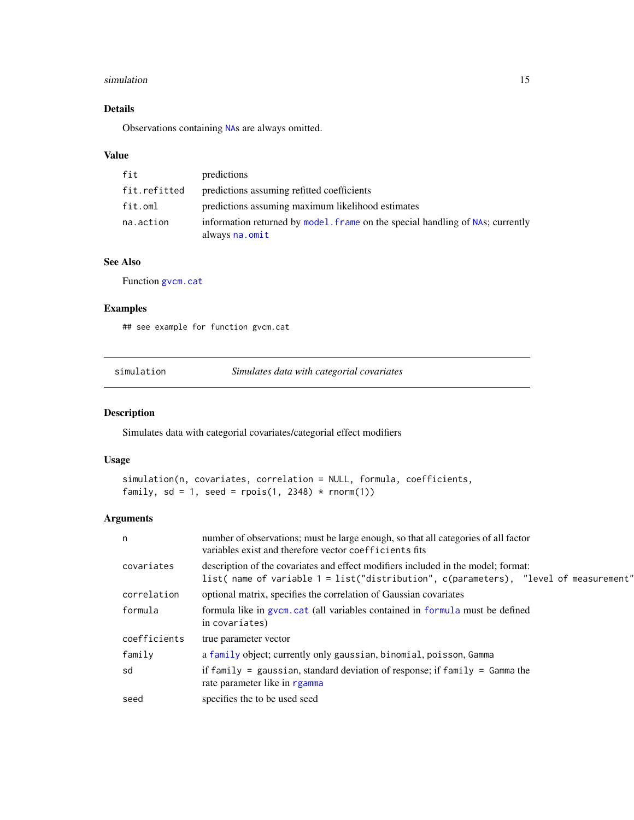#### <span id="page-14-0"></span>simulation and the state of the state of the state of the state of the state of the state of the state of the state of the state of the state of the state of the state of the state of the state of the state of the state of

### Details

Observations containing [NA](#page-0-0)s are always omitted.

### Value

| fit          | predictions                                                                                      |
|--------------|--------------------------------------------------------------------------------------------------|
| fit.refitted | predictions assuming refitted coefficients                                                       |
| fit.oml      | predictions assuming maximum likelihood estimates                                                |
| na.action    | information returned by model. Frame on the special handling of NAs; currently<br>always na.omit |

### See Also

Function [gvcm.cat](#page-3-1)

### Examples

## see example for function gvcm.cat

<span id="page-14-1"></span>simulation *Simulates data with categorial covariates*

### Description

Simulates data with categorial covariates/categorial effect modifiers

#### Usage

```
simulation(n, covariates, correlation = NULL, formula, coefficients,
family, sd = 1, seed = rpois(1, 2348) * rnorm(1)
```

| n            | number of observations; must be large enough, so that all categories of all factor<br>variables exist and therefore vector coefficients fits                               |
|--------------|----------------------------------------------------------------------------------------------------------------------------------------------------------------------------|
| covariates   | description of the covariates and effect modifiers included in the model; format:<br>list( name of variable 1 = list("distribution", c(parameters), "level of measurement" |
| correlation  | optional matrix, specifies the correlation of Gaussian covariates                                                                                                          |
| formula      | formula like in gvcm. cat (all variables contained in formula must be defined<br>in covariates)                                                                            |
| coefficients | true parameter vector                                                                                                                                                      |
| family       | a family object; currently only gaussian, binomial, poisson, Gamma                                                                                                         |
| sd           | if family = gaussian, standard deviation of response; if family = $Gamma$ he<br>rate parameter like in rgamma                                                              |
| seed         | specifies the to be used seed                                                                                                                                              |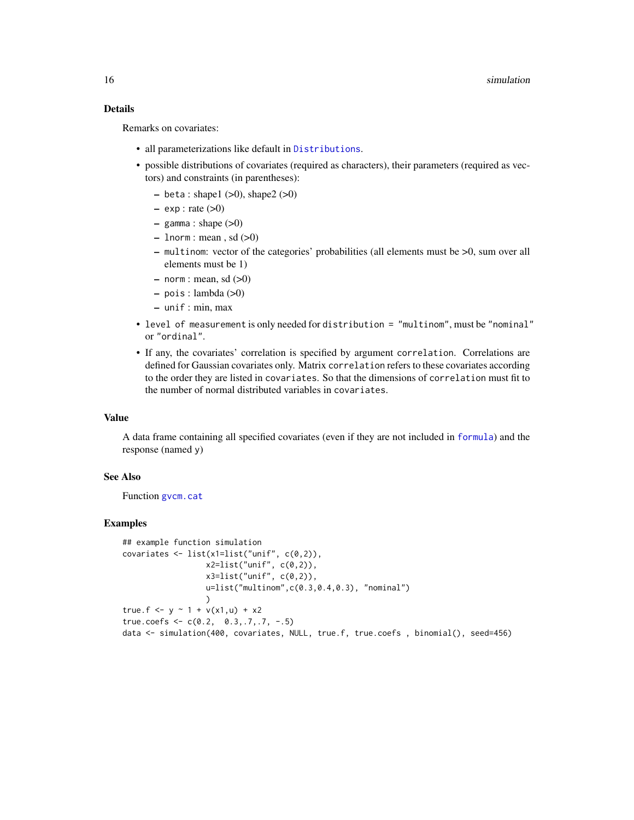Remarks on covariates:

- all parameterizations like default in [Distributions](#page-0-0).
- possible distributions of covariates (required as characters), their parameters (required as vectors) and constraints (in parentheses):
	- $-$  beta : shape1 (>0), shape2 (>0)
	- $-$  exp : rate  $(>0)$
	- $-$  gamma : shape  $(>0)$
	- $-$  lnorm : mean, sd  $(>0)$
	- multinom: vector of the categories' probabilities (all elements must be >0, sum over all elements must be 1)
	- $-$  norm : mean, sd  $(>0)$
	- pois : lambda (>0)
	- unif : min, max
- level of measurement is only needed for distribution = "multinom", must be "nominal" or "ordinal".
- If any, the covariates' correlation is specified by argument correlation. Correlations are defined for Gaussian covariates only. Matrix correlation refers to these covariates according to the order they are listed in covariates. So that the dimensions of correlation must fit to the number of normal distributed variables in covariates.

#### Value

A data frame containing all specified covariates (even if they are not included in [formula](#page-0-0)) and the response (named y)

#### See Also

Function [gvcm.cat](#page-3-1)

```
## example function simulation
covariates \le list(x1=list("unif", c(0,2)),
                  x2 = list("unif", c(0,2)),x3=list('unit'', c(0,2)),u=list("multinom",c(0.3,0.4,0.3), "nominal")
                  )
true.f <- y \sim 1 + v(x1, u) + x2true.coefs <- c(0.2, 0.3, .7, .7, -.5)data <- simulation(400, covariates, NULL, true.f, true.coefs , binomial(), seed=456)
```
<span id="page-15-0"></span>